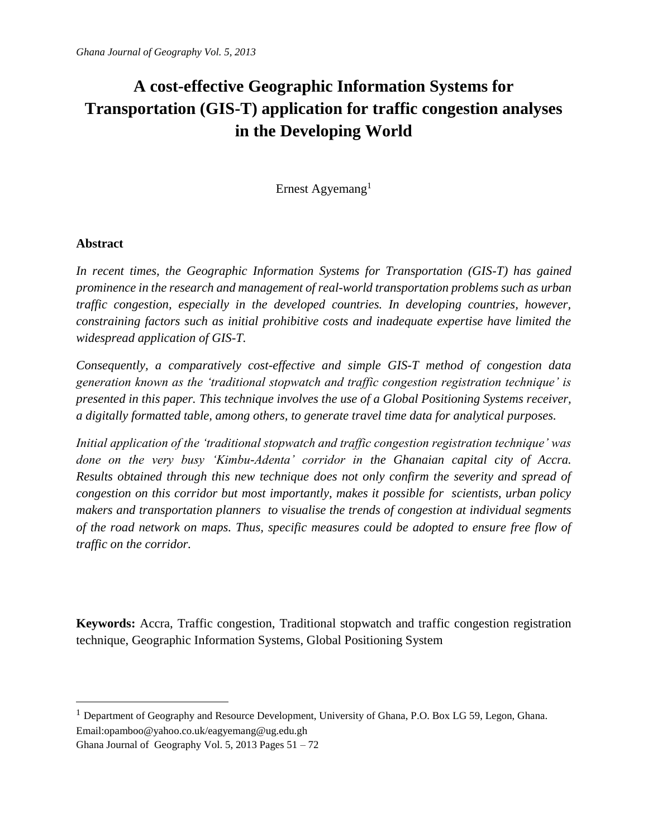# **A cost-effective Geographic Information Systems for Transportation (GIS-T) application for traffic congestion analyses in the Developing World**

Ernest Agyemang<sup>1</sup>

# **Abstract**

 $\overline{a}$ 

*In recent times, the Geographic Information Systems for Transportation (GIS-T) has gained prominence in the research and management of real-world transportation problems such as urban traffic congestion, especially in the developed countries. In developing countries, however, constraining factors such as initial prohibitive costs and inadequate expertise have limited the widespread application of GIS-T.* 

*Consequently, a comparatively cost-effective and simple GIS-T method of congestion data generation known as the 'traditional stopwatch and traffic congestion registration technique' is presented in this paper. This technique involves the use of a Global Positioning Systems receiver, a digitally formatted table, among others, to generate travel time data for analytical purposes.* 

*Initial application of the 'traditional stopwatch and traffic congestion registration technique' was done on the very busy 'Kimbu-Adenta' corridor in the Ghanaian capital city of Accra. Results obtained through this new technique does not only confirm the severity and spread of congestion on this corridor but most importantly, makes it possible for scientists, urban policy makers and transportation planners to visualise the trends of congestion at individual segments of the road network on maps. Thus, specific measures could be adopted to ensure free flow of traffic on the corridor.*

**Keywords:** Accra, Traffic congestion, Traditional stopwatch and traffic congestion registration technique, Geographic Information Systems, Global Positioning System

<sup>&</sup>lt;sup>1</sup> Department of Geography and Resource Development, University of Ghana, P.O. Box LG 59, Legon, Ghana. Email:opamboo@yahoo.co.uk/eagyemang@ug.edu.gh

Ghana Journal of Geography Vol. 5, 2013 Pages  $51 - 72$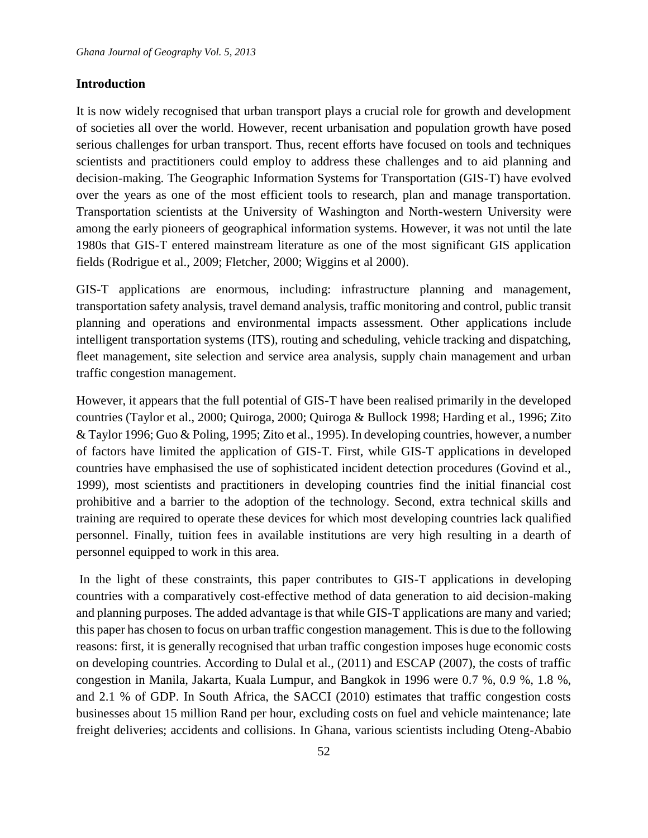### **Introduction**

It is now widely recognised that urban transport plays a crucial role for growth and development of societies all over the world. However, recent urbanisation and population growth have posed serious challenges for urban transport. Thus, recent efforts have focused on tools and techniques scientists and practitioners could employ to address these challenges and to aid planning and decision-making. The Geographic Information Systems for Transportation (GIS-T) have evolved over the years as one of the most efficient tools to research, plan and manage transportation. Transportation scientists at the University of Washington and North-western University were among the early pioneers of geographical information systems. However, it was not until the late 1980s that GIS-T entered mainstream literature as one of the most significant GIS application fields (Rodrigue et al., 2009; Fletcher, 2000; Wiggins et al 2000).

GIS-T applications are enormous, including: infrastructure planning and management, transportation safety analysis, travel demand analysis, traffic monitoring and control, public transit planning and operations and environmental impacts assessment. Other applications include intelligent transportation systems (ITS), routing and scheduling, vehicle tracking and dispatching, fleet management, site selection and service area analysis, supply chain management and urban traffic congestion management.

However, it appears that the full potential of GIS-T have been realised primarily in the developed countries (Taylor et al., 2000; Quiroga, 2000; Quiroga & Bullock 1998; Harding et al., 1996; Zito & Taylor 1996; Guo & Poling, 1995; Zito et al., 1995). In developing countries, however, a number of factors have limited the application of GIS-T. First, while GIS-T applications in developed countries have emphasised the use of sophisticated incident detection procedures (Govind et al., 1999), most scientists and practitioners in developing countries find the initial financial cost prohibitive and a barrier to the adoption of the technology. Second, extra technical skills and training are required to operate these devices for which most developing countries lack qualified personnel. Finally, tuition fees in available institutions are very high resulting in a dearth of personnel equipped to work in this area.

In the light of these constraints, this paper contributes to GIS-T applications in developing countries with a comparatively cost-effective method of data generation to aid decision-making and planning purposes. The added advantage is that while GIS-T applications are many and varied; this paper has chosen to focus on urban traffic congestion management. This is due to the following reasons: first, it is generally recognised that urban traffic congestion imposes huge economic costs on developing countries. According to Dulal et al., (2011) and ESCAP (2007), the costs of traffic congestion in Manila, Jakarta, Kuala Lumpur, and Bangkok in 1996 were 0.7 %, 0.9 %, 1.8 %, and 2.1 % of GDP. In South Africa, the SACCI (2010) estimates that traffic congestion costs businesses about 15 million Rand per hour, excluding costs on fuel and vehicle maintenance; late freight deliveries; accidents and collisions. In Ghana, various scientists including Oteng-Ababio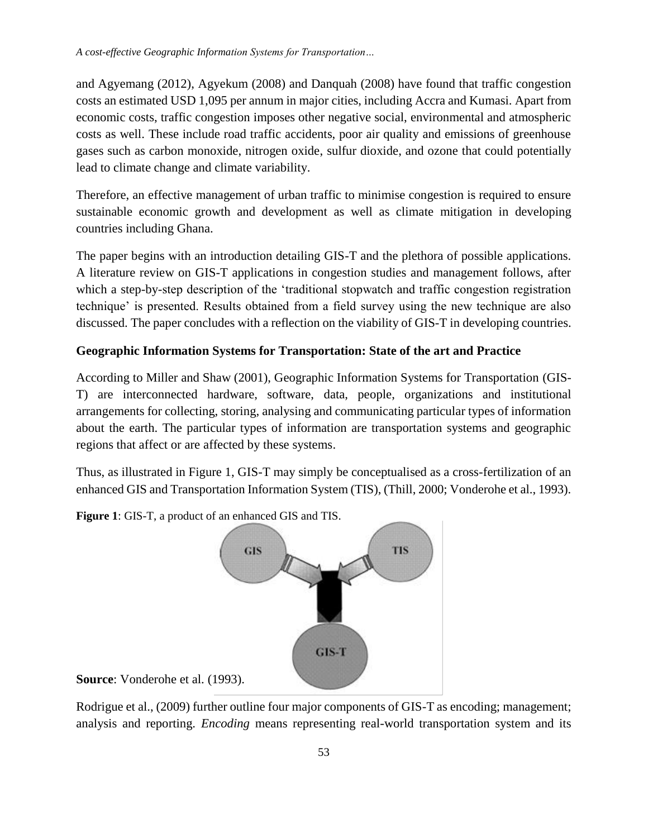and Agyemang (2012), Agyekum (2008) and Danquah (2008) have found that traffic congestion costs an estimated USD 1,095 per annum in major cities, including Accra and Kumasi. Apart from economic costs, traffic congestion imposes other negative social, environmental and atmospheric costs as well. These include road traffic accidents, poor air quality and emissions of greenhouse gases such as carbon monoxide, nitrogen oxide, sulfur dioxide, and ozone that could potentially lead to climate change and climate variability.

Therefore, an effective management of urban traffic to minimise congestion is required to ensure sustainable economic growth and development as well as climate mitigation in developing countries including Ghana.

The paper begins with an introduction detailing GIS-T and the plethora of possible applications. A literature review on GIS-T applications in congestion studies and management follows, after which a step-by-step description of the 'traditional stopwatch and traffic congestion registration technique' is presented. Results obtained from a field survey using the new technique are also discussed. The paper concludes with a reflection on the viability of GIS-T in developing countries.

# **Geographic Information Systems for Transportation: State of the art and Practice**

According to Miller and Shaw (2001), Geographic Information Systems for Transportation (GIS-T) are interconnected hardware, software, data, people, organizations and institutional arrangements for collecting, storing, analysing and communicating particular types of information about the earth. The particular types of information are transportation systems and geographic regions that affect or are affected by these systems.

Thus, as illustrated in Figure 1, GIS-T may simply be conceptualised as a cross-fertilization of an enhanced GIS and Transportation Information System (TIS), (Thill, 2000; Vonderohe et al., 1993).

**Figure 1**: GIS-T, a product of an enhanced GIS and TIS.



**Source**: Vonderohe et al. (1993).

Rodrigue et al., (2009) further outline four major components of GIS-T as encoding; management; analysis and reporting. *Encoding* means representing real-world transportation system and its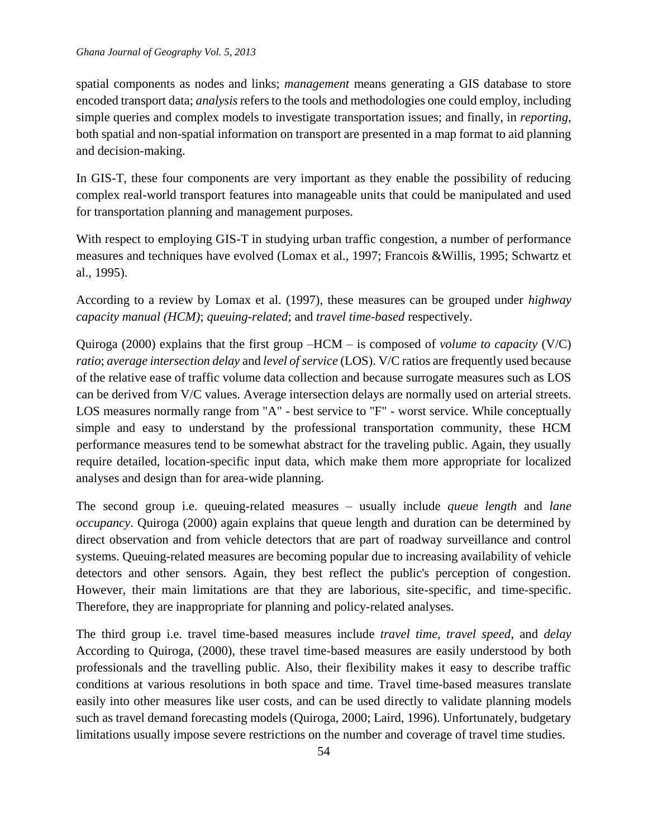spatial components as nodes and links; *management* means generating a GIS database to store encoded transport data; *analysis* refers to the tools and methodologies one could employ, including simple queries and complex models to investigate transportation issues; and finally, in *reporting*, both spatial and non-spatial information on transport are presented in a map format to aid planning and decision-making.

In GIS-T, these four components are very important as they enable the possibility of reducing complex real-world transport features into manageable units that could be manipulated and used for transportation planning and management purposes.

With respect to employing GIS-T in studying urban traffic congestion, a number of performance measures and techniques have evolved (Lomax et al., 1997; Francois &Willis, 1995; Schwartz et al., 1995).

According to a review by Lomax et al. (1997), these measures can be grouped under *highway capacity manual (HCM)*; *queuing-related*; and *travel time-based* respectively.

Quiroga (2000) explains that the first group –HCM – is composed of *volume to capacity* (V/C) *ratio*; *average intersection delay* and *level of service* (LOS). V/C ratios are frequently used because of the relative ease of traffic volume data collection and because surrogate measures such as LOS can be derived from V/C values. Average intersection delays are normally used on arterial streets. LOS measures normally range from "A" - best service to "F" - worst service. While conceptually simple and easy to understand by the professional transportation community, these HCM performance measures tend to be somewhat abstract for the traveling public. Again, they usually require detailed, location-specific input data, which make them more appropriate for localized analyses and design than for area-wide planning.

The second group i.e. queuing-related measures – usually include *queue length* and *lane occupancy*. Quiroga (2000) again explains that queue length and duration can be determined by direct observation and from vehicle detectors that are part of roadway surveillance and control systems. Queuing-related measures are becoming popular due to increasing availability of vehicle detectors and other sensors. Again, they best reflect the public's perception of congestion. However, their main limitations are that they are laborious, site-specific, and time-specific. Therefore, they are inappropriate for planning and policy-related analyses.

The third group i.e. travel time-based measures include *travel time, travel speed*, and *delay* According to Quiroga, (2000), these travel time-based measures are easily understood by both professionals and the travelling public. Also, their flexibility makes it easy to describe traffic conditions at various resolutions in both space and time. Travel time-based measures translate easily into other measures like user costs, and can be used directly to validate planning models such as travel demand forecasting models (Quiroga, 2000; Laird, 1996). Unfortunately, budgetary limitations usually impose severe restrictions on the number and coverage of travel time studies.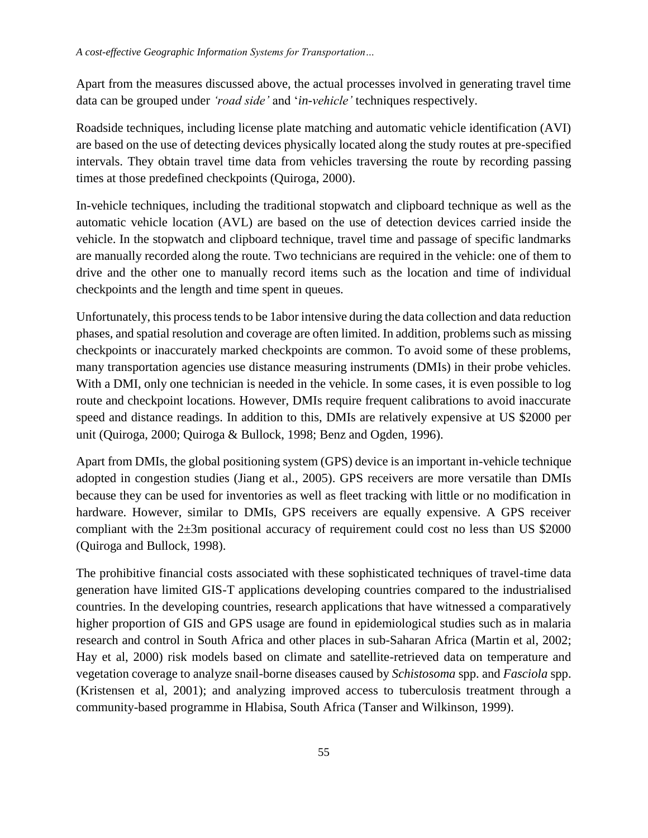Apart from the measures discussed above, the actual processes involved in generating travel time data can be grouped under *'road side'* and '*in-vehicle'* techniques respectively.

Roadside techniques, including license plate matching and automatic vehicle identification (AVI) are based on the use of detecting devices physically located along the study routes at pre-specified intervals. They obtain travel time data from vehicles traversing the route by recording passing times at those predefined checkpoints (Quiroga, 2000).

In-vehicle techniques, including the traditional stopwatch and clipboard technique as well as the automatic vehicle location (AVL) are based on the use of detection devices carried inside the vehicle. In the stopwatch and clipboard technique, travel time and passage of specific landmarks are manually recorded along the route. Two technicians are required in the vehicle: one of them to drive and the other one to manually record items such as the location and time of individual checkpoints and the length and time spent in queues.

Unfortunately, this process tends to be 1abor intensive during the data collection and data reduction phases, and spatial resolution and coverage are often limited. In addition, problems such as missing checkpoints or inaccurately marked checkpoints are common. To avoid some of these problems, many transportation agencies use distance measuring instruments (DMIs) in their probe vehicles. With a DMI, only one technician is needed in the vehicle. In some cases, it is even possible to log route and checkpoint locations. However, DMIs require frequent calibrations to avoid inaccurate speed and distance readings. In addition to this, DMIs are relatively expensive at US \$2000 per unit (Quiroga, 2000; Quiroga & Bullock, 1998; Benz and Ogden, 1996).

Apart from DMIs, the global positioning system (GPS) device is an important in-vehicle technique adopted in congestion studies (Jiang et al., 2005). GPS receivers are more versatile than DMIs because they can be used for inventories as well as fleet tracking with little or no modification in hardware. However, similar to DMIs, GPS receivers are equally expensive. A GPS receiver compliant with the  $2\pm 3m$  positional accuracy of requirement could cost no less than US \$2000 (Quiroga and Bullock, 1998).

The prohibitive financial costs associated with these sophisticated techniques of travel-time data generation have limited GIS-T applications developing countries compared to the industrialised countries. In the developing countries, research applications that have witnessed a comparatively higher proportion of GIS and GPS usage are found in epidemiological studies such as in malaria research and control in South Africa and other places in sub-Saharan Africa (Martin et al, 2002; Hay et al, 2000) risk models based on climate and satellite-retrieved data on temperature and vegetation coverage to analyze snail-borne diseases caused by *Schistosoma* spp. and *Fasciola* spp. (Kristensen et al, 2001); and analyzing improved access to tuberculosis treatment through a community-based programme in Hlabisa, South Africa (Tanser and Wilkinson, 1999).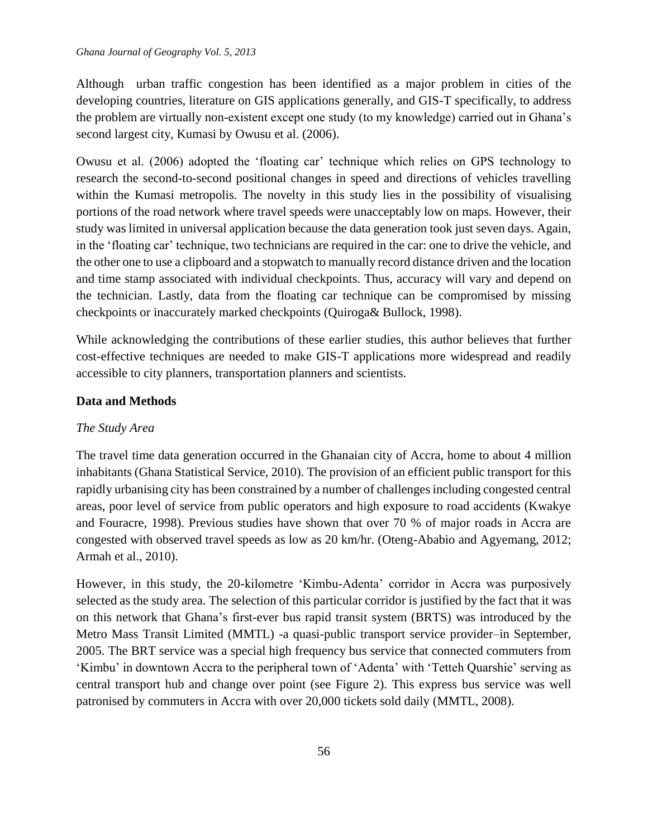Although urban traffic congestion has been identified as a major problem in cities of the developing countries, literature on GIS applications generally, and GIS-T specifically, to address the problem are virtually non-existent except one study (to my knowledge) carried out in Ghana's second largest city, Kumasi by Owusu et al. (2006).

Owusu et al. (2006) adopted the 'floating car' technique which relies on GPS technology to research the second-to-second positional changes in speed and directions of vehicles travelling within the Kumasi metropolis. The novelty in this study lies in the possibility of visualising portions of the road network where travel speeds were unacceptably low on maps. However, their study was limited in universal application because the data generation took just seven days. Again, in the 'floating car' technique, two technicians are required in the car: one to drive the vehicle, and the other one to use a clipboard and a stopwatch to manually record distance driven and the location and time stamp associated with individual checkpoints. Thus, accuracy will vary and depend on the technician. Lastly, data from the floating car technique can be compromised by missing checkpoints or inaccurately marked checkpoints (Quiroga& Bullock, 1998).

While acknowledging the contributions of these earlier studies, this author believes that further cost-effective techniques are needed to make GIS-T applications more widespread and readily accessible to city planners, transportation planners and scientists.

# **Data and Methods**

### *The Study Area*

The travel time data generation occurred in the Ghanaian city of Accra, home to about 4 million inhabitants (Ghana Statistical Service, 2010). The provision of an efficient public transport for this rapidly urbanising city has been constrained by a number of challenges including congested central areas, poor level of service from public operators and high exposure to road accidents (Kwakye and Fouracre, 1998). Previous studies have shown that over 70 % of major roads in Accra are congested with observed travel speeds as low as 20 km/hr. (Oteng-Ababio and Agyemang, 2012; Armah et al., 2010).

However, in this study, the 20-kilometre 'Kimbu-Adenta' corridor in Accra was purposively selected as the study area. The selection of this particular corridor is justified by the fact that it was on this network that Ghana's first-ever bus rapid transit system (BRTS) was introduced by the Metro Mass Transit Limited (MMTL) -a quasi-public transport service provider–in September, 2005. The BRT service was a special high frequency bus service that connected commuters from 'Kimbu' in downtown Accra to the peripheral town of 'Adenta' with 'Tetteh Quarshie' serving as central transport hub and change over point (see Figure 2). This express bus service was well patronised by commuters in Accra with over 20,000 tickets sold daily (MMTL, 2008).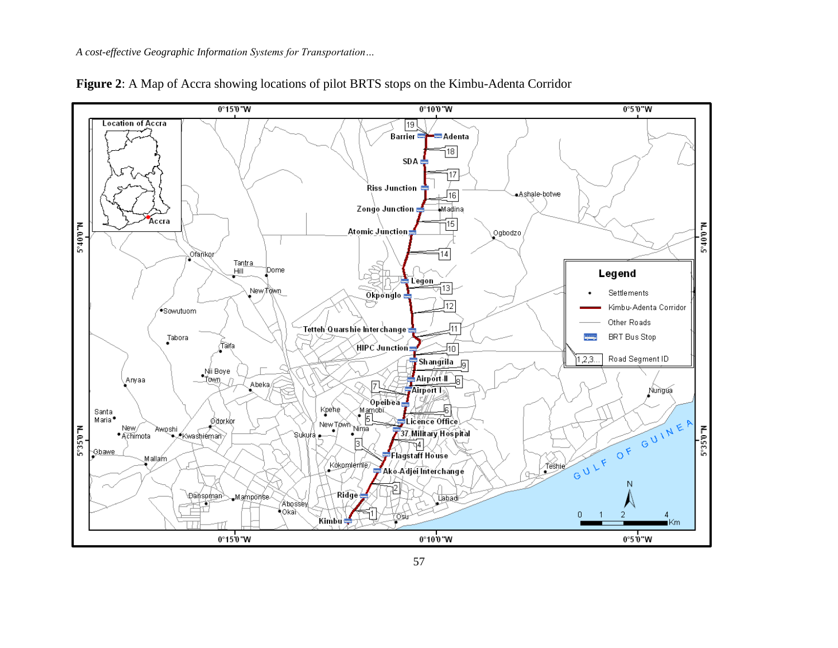

**Figure 2**: A Map of Accra showing locations of pilot BRTS stops on the Kimbu-Adenta Corridor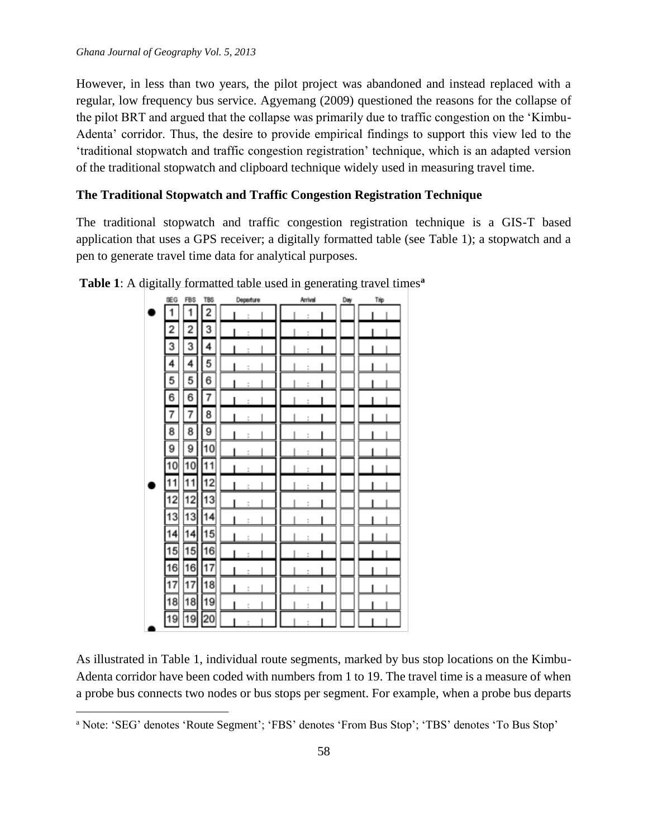$\overline{a}$ 

However, in less than two years, the pilot project was abandoned and instead replaced with a regular, low frequency bus service. Agyemang (2009) questioned the reasons for the collapse of the pilot BRT and argued that the collapse was primarily due to traffic congestion on the 'Kimbu-Adenta' corridor. Thus, the desire to provide empirical findings to support this view led to the 'traditional stopwatch and traffic congestion registration' technique, which is an adapted version of the traditional stopwatch and clipboard technique widely used in measuring travel time.

#### **The Traditional Stopwatch and Traffic Congestion Registration Technique**

The traditional stopwatch and traffic congestion registration technique is a GIS-T based application that uses a GPS receiver; a digitally formatted table (see Table 1); a stopwatch and a pen to generate travel time data for analytical purposes.



**Table 1**: A digitally formatted table used in generating travel times**<sup>a</sup>**

As illustrated in Table 1, individual route segments, marked by bus stop locations on the Kimbu-Adenta corridor have been coded with numbers from 1 to 19. The travel time is a measure of when a probe bus connects two nodes or bus stops per segment. For example, when a probe bus departs

<sup>a</sup> Note: 'SEG' denotes 'Route Segment'; 'FBS' denotes 'From Bus Stop'; 'TBS' denotes 'To Bus Stop'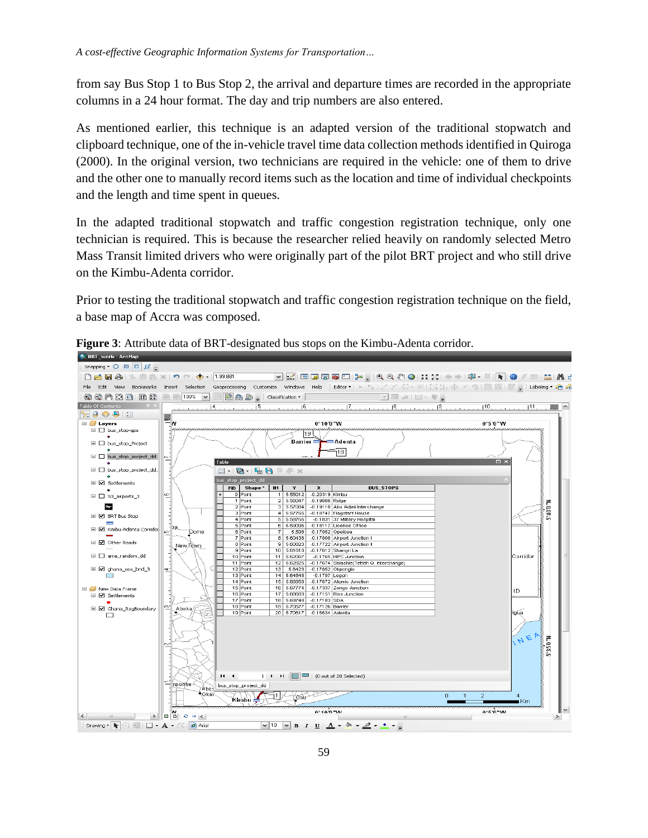from say Bus Stop 1 to Bus Stop 2, the arrival and departure times are recorded in the appropriate columns in a 24 hour format. The day and trip numbers are also entered.

As mentioned earlier, this technique is an adapted version of the traditional stopwatch and clipboard technique, one of the in-vehicle travel time data collection methods identified in Quiroga (2000). In the original version, two technicians are required in the vehicle: one of them to drive and the other one to manually record items such as the location and time of individual checkpoints and the length and time spent in queues.

In the adapted traditional stopwatch and traffic congestion registration technique, only one technician is required. This is because the researcher relied heavily on randomly selected Metro Mass Transit limited drivers who were originally part of the pilot BRT project and who still drive on the Kimbu-Adenta corridor.

Prior to testing the traditional stopwatch and traffic congestion registration technique on the field, a base map of Accra was composed.



**Figure 3**: Attribute data of BRT-designated bus stops on the Kimbu-Adenta corridor.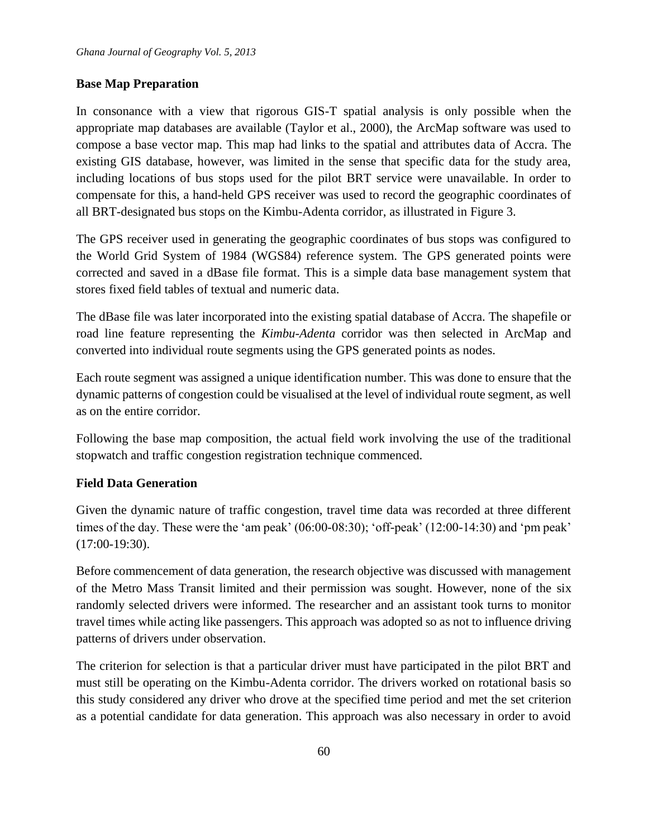# **Base Map Preparation**

In consonance with a view that rigorous GIS-T spatial analysis is only possible when the appropriate map databases are available (Taylor et al., 2000), the ArcMap software was used to compose a base vector map. This map had links to the spatial and attributes data of Accra. The existing GIS database, however, was limited in the sense that specific data for the study area, including locations of bus stops used for the pilot BRT service were unavailable. In order to compensate for this, a hand-held GPS receiver was used to record the geographic coordinates of all BRT-designated bus stops on the Kimbu-Adenta corridor, as illustrated in Figure 3.

The GPS receiver used in generating the geographic coordinates of bus stops was configured to the World Grid System of 1984 (WGS84) reference system. The GPS generated points were corrected and saved in a dBase file format. This is a simple data base management system that stores fixed field tables of textual and numeric data.

The dBase file was later incorporated into the existing spatial database of Accra. The shapefile or road line feature representing the *Kimbu-Adenta* corridor was then selected in ArcMap and converted into individual route segments using the GPS generated points as nodes.

Each route segment was assigned a unique identification number. This was done to ensure that the dynamic patterns of congestion could be visualised at the level of individual route segment, as well as on the entire corridor.

Following the base map composition, the actual field work involving the use of the traditional stopwatch and traffic congestion registration technique commenced.

# **Field Data Generation**

Given the dynamic nature of traffic congestion, travel time data was recorded at three different times of the day. These were the 'am peak' (06:00-08:30); 'off-peak' (12:00-14:30) and 'pm peak' (17:00-19:30).

Before commencement of data generation, the research objective was discussed with management of the Metro Mass Transit limited and their permission was sought. However, none of the six randomly selected drivers were informed. The researcher and an assistant took turns to monitor travel times while acting like passengers. This approach was adopted so as not to influence driving patterns of drivers under observation.

The criterion for selection is that a particular driver must have participated in the pilot BRT and must still be operating on the Kimbu-Adenta corridor. The drivers worked on rotational basis so this study considered any driver who drove at the specified time period and met the set criterion as a potential candidate for data generation. This approach was also necessary in order to avoid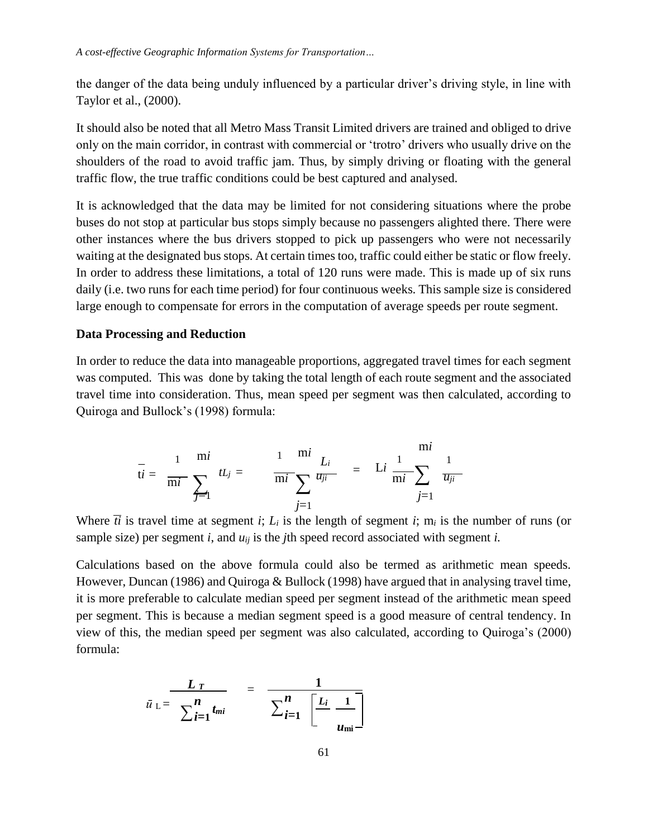the danger of the data being unduly influenced by a particular driver's driving style, in line with Taylor et al., (2000).

It should also be noted that all Metro Mass Transit Limited drivers are trained and obliged to drive only on the main corridor, in contrast with commercial or 'trotro' drivers who usually drive on the shoulders of the road to avoid traffic jam. Thus, by simply driving or floating with the general traffic flow, the true traffic conditions could be best captured and analysed.

It is acknowledged that the data may be limited for not considering situations where the probe buses do not stop at particular bus stops simply because no passengers alighted there. There were other instances where the bus drivers stopped to pick up passengers who were not necessarily waiting at the designated bus stops. At certain times too, traffic could either be static or flow freely. In order to address these limitations, a total of 120 runs were made. This is made up of six runs daily (i.e. two runs for each time period) for four continuous weeks. This sample size is considered large enough to compensate for errors in the computation of average speeds per route segment.

### **Data Processing and Reduction**

In order to reduce the data into manageable proportions, aggregated travel times for each segment was computed. This was done by taking the total length of each route segment and the associated travel time into consideration. Thus, mean speed per segment was then calculated, according to Quiroga and Bullock's (1998) formula:

$$
\bar{t}i = \frac{1}{mi} \sum_{j=1}^{mi} tL_j = \frac{1}{mi} \sum_{j=1}^{mi} \frac{L_i}{u_{ji}} = Li \frac{1}{mi} \sum_{j=1}^{mi} \frac{1}{u_{ji}}
$$

Where  $\overline{ti}$  is travel time at segment *i*;  $L_i$  is the length of segment *i*; m<sub>*i*</sub> is the number of runs (or sample size) per segment *i*, and  $u_{ij}$  is the *j*th speed record associated with segment *i*.

Calculations based on the above formula could also be termed as arithmetic mean speeds. However, Duncan (1986) and Quiroga & Bullock (1998) have argued that in analysing travel time, it is more preferable to calculate median speed per segment instead of the arithmetic mean speed per segment. This is because a median segment speed is a good measure of central tendency. In view of this, the median speed per segment was also calculated, according to Quiroga's (2000) formula:

$$
\bar{u}_{\text{L}} = \frac{L_T}{\sum_{i=1}^{n} t_{mi}} - \frac{1}{\sum_{i=1}^{n} \left[\frac{L_i}{m} - \frac{1}{u_{mi}}\right]}
$$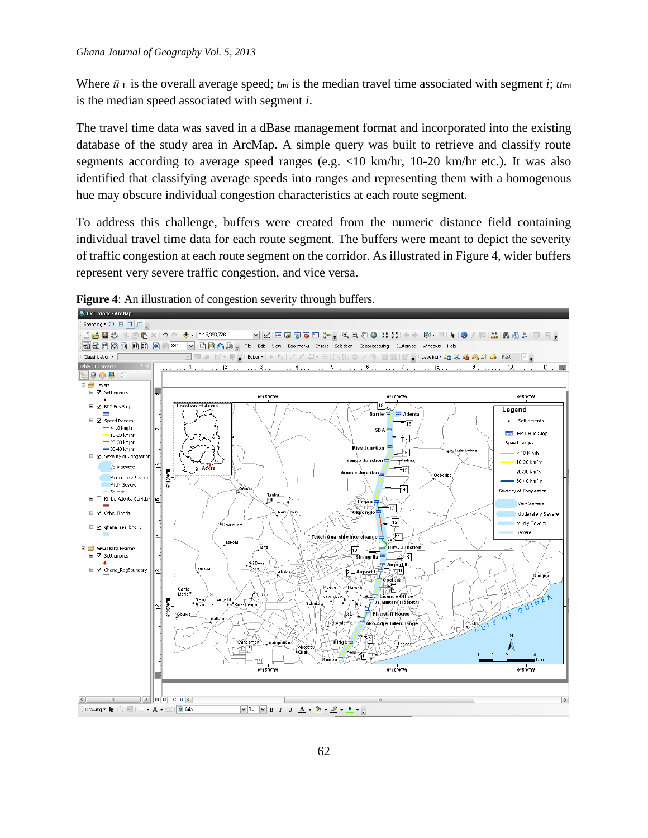Where  $\bar{u}_L$  is the overall average speed;  $t_{mi}$  is the median travel time associated with segment *i*;  $u_{mi}$ is the median speed associated with segment *i*.

The travel time data was saved in a dBase management format and incorporated into the existing database of the study area in ArcMap. A simple query was built to retrieve and classify route segments according to average speed ranges (e.g. <10 km/hr, 10-20 km/hr etc.). It was also identified that classifying average speeds into ranges and representing them with a homogenous hue may obscure individual congestion characteristics at each route segment.

To address this challenge, buffers were created from the numeric distance field containing individual travel time data for each route segment. The buffers were meant to depict the severity of traffic congestion at each route segment on the corridor. As illustrated in Figure 4, wider buffers represent very severe traffic congestion, and vice versa.



**Figure 4**: An illustration of congestion severity through buffers.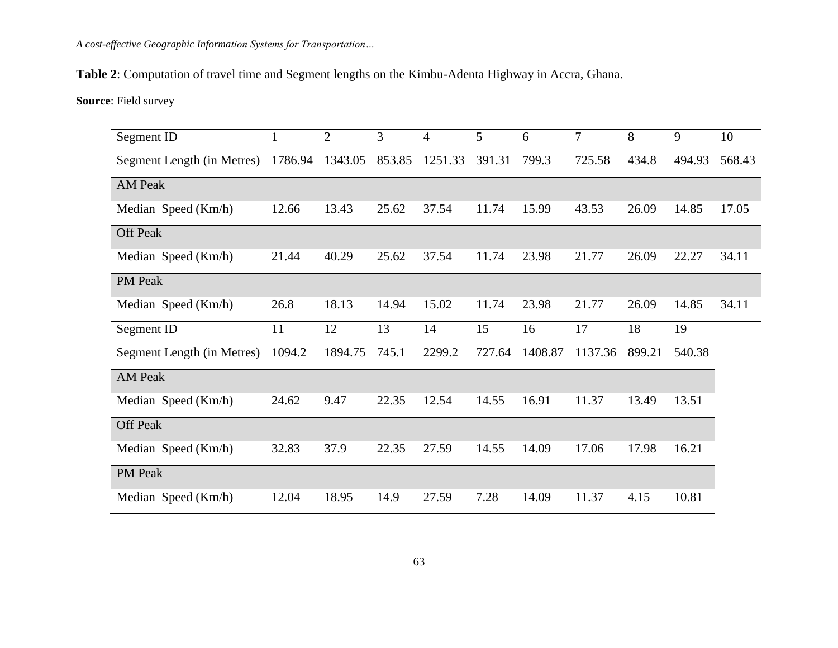**Table 2**: Computation of travel time and Segment lengths on the Kimbu-Adenta Highway in Accra, Ghana.

**Source**: Field survey

| Segment ID                 |         | $\overline{2}$ | 3      | $\overline{4}$ | 5      | 6       | 7       | 8      | 9      | 10     |
|----------------------------|---------|----------------|--------|----------------|--------|---------|---------|--------|--------|--------|
| Segment Length (in Metres) | 1786.94 | 1343.05        | 853.85 | 1251.33        | 391.31 | 799.3   | 725.58  | 434.8  | 494.93 | 568.43 |
| <b>AM Peak</b>             |         |                |        |                |        |         |         |        |        |        |
| Median Speed (Km/h)        | 12.66   | 13.43          | 25.62  | 37.54          | 11.74  | 15.99   | 43.53   | 26.09  | 14.85  | 17.05  |
| Off Peak                   |         |                |        |                |        |         |         |        |        |        |
| Median Speed (Km/h)        | 21.44   | 40.29          | 25.62  | 37.54          | 11.74  | 23.98   | 21.77   | 26.09  | 22.27  | 34.11  |
| PM Peak                    |         |                |        |                |        |         |         |        |        |        |
| Median Speed (Km/h)        | 26.8    | 18.13          | 14.94  | 15.02          | 11.74  | 23.98   | 21.77   | 26.09  | 14.85  | 34.11  |
| Segment ID                 | 11      | 12             | 13     | 14             | 15     | 16      | 17      | 18     | 19     |        |
| Segment Length (in Metres) | 1094.2  | 1894.75        | 745.1  | 2299.2         | 727.64 | 1408.87 | 1137.36 | 899.21 | 540.38 |        |
| <b>AM Peak</b>             |         |                |        |                |        |         |         |        |        |        |
| Median Speed (Km/h)        | 24.62   | 9.47           | 22.35  | 12.54          | 14.55  | 16.91   | 11.37   | 13.49  | 13.51  |        |
| Off Peak                   |         |                |        |                |        |         |         |        |        |        |
| Median Speed (Km/h)        | 32.83   | 37.9           | 22.35  | 27.59          | 14.55  | 14.09   | 17.06   | 17.98  | 16.21  |        |
| PM Peak                    |         |                |        |                |        |         |         |        |        |        |
| Median Speed (Km/h)        | 12.04   | 18.95          | 14.9   | 27.59          | 7.28   | 14.09   | 11.37   | 4.15   | 10.81  |        |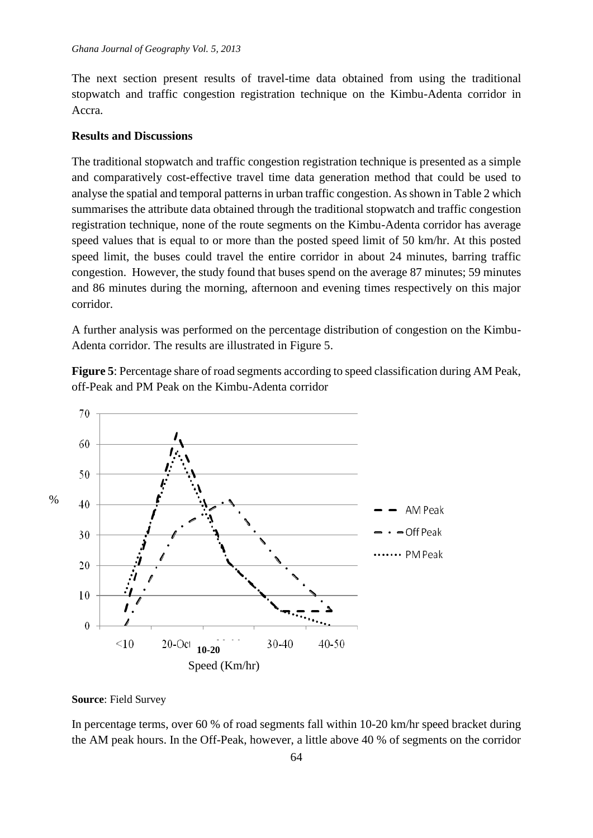The next section present results of travel-time data obtained from using the traditional stopwatch and traffic congestion registration technique on the Kimbu-Adenta corridor in Accra.

# **Results and Discussions**

The traditional stopwatch and traffic congestion registration technique is presented as a simple and comparatively cost-effective travel time data generation method that could be used to analyse the spatial and temporal patterns in urban traffic congestion. As shown in Table 2 which summarises the attribute data obtained through the traditional stopwatch and traffic congestion registration technique, none of the route segments on the Kimbu-Adenta corridor has average speed values that is equal to or more than the posted speed limit of 50 km/hr. At this posted speed limit, the buses could travel the entire corridor in about 24 minutes, barring traffic congestion. However, the study found that buses spend on the average 87 minutes; 59 minutes and 86 minutes during the morning, afternoon and evening times respectively on this major corridor.

A further analysis was performed on the percentage distribution of congestion on the Kimbu-Adenta corridor. The results are illustrated in Figure 5.

**Figure 5**: Percentage share of road segments according to speed classification during AM Peak, off-Peak and PM Peak on the Kimbu-Adenta corridor



#### **Source**: Field Survey

In percentage terms, over 60 % of road segments fall within 10-20 km/hr speed bracket during the AM peak hours. In the Off-Peak, however, a little above 40 % of segments on the corridor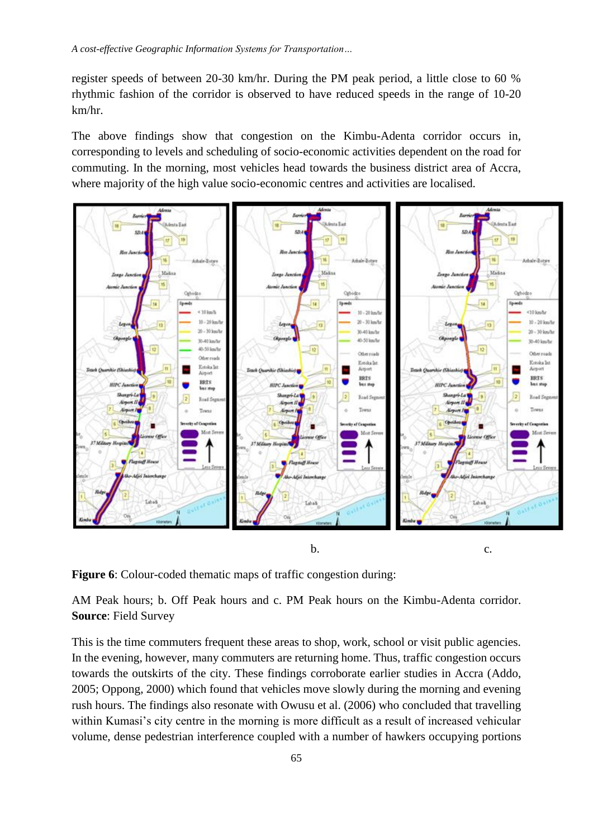register speeds of between 20-30 km/hr. During the PM peak period, a little close to 60 % rhythmic fashion of the corridor is observed to have reduced speeds in the range of 10-20 km/hr.

The above findings show that congestion on the Kimbu-Adenta corridor occurs in, corresponding to levels and scheduling of socio-economic activities dependent on the road for commuting. In the morning, most vehicles head towards the business district area of Accra, where majority of the high value socio-economic centres and activities are localised.



**Figure 6**: Colour-coded thematic maps of traffic congestion during:

AM Peak hours; b. Off Peak hours and c. PM Peak hours on the Kimbu-Adenta corridor. **Source**: Field Survey

This is the time commuters frequent these areas to shop, work, school or visit public agencies. In the evening, however, many commuters are returning home. Thus, traffic congestion occurs towards the outskirts of the city. These findings corroborate earlier studies in Accra (Addo, 2005; Oppong, 2000) which found that vehicles move slowly during the morning and evening rush hours. The findings also resonate with Owusu et al. (2006) who concluded that travelling within Kumasi's city centre in the morning is more difficult as a result of increased vehicular volume, dense pedestrian interference coupled with a number of hawkers occupying portions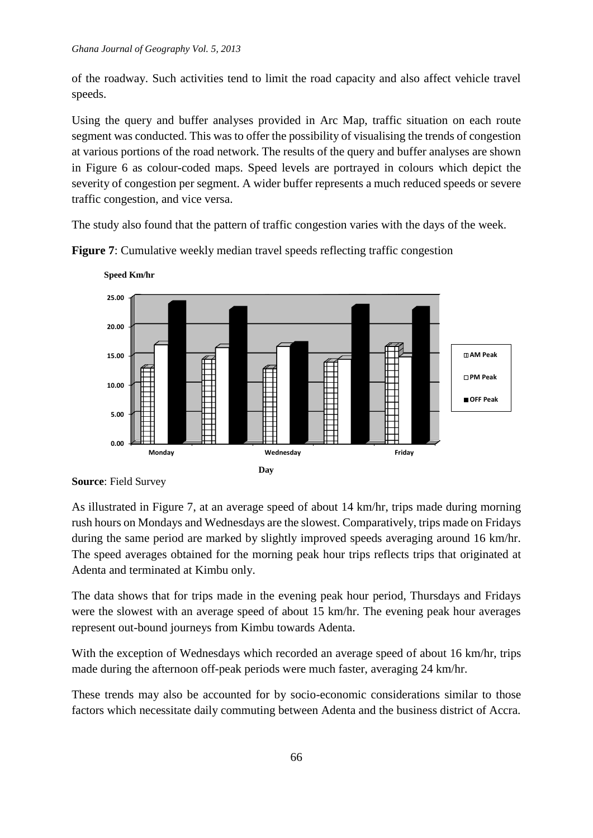of the roadway. Such activities tend to limit the road capacity and also affect vehicle travel speeds.

Using the query and buffer analyses provided in Arc Map, traffic situation on each route segment was conducted. This was to offer the possibility of visualising the trends of congestion at various portions of the road network. The results of the query and buffer analyses are shown in Figure 6 as colour-coded maps. Speed levels are portrayed in colours which depict the severity of congestion per segment. A wider buffer represents a much reduced speeds or severe traffic congestion, and vice versa.

The study also found that the pattern of traffic congestion varies with the days of the week.



**Figure 7:** Cumulative weekly median travel speeds reflecting traffic congestion

**Source**: Field Survey

As illustrated in Figure 7, at an average speed of about 14 km/hr, trips made during morning rush hours on Mondays and Wednesdays are the slowest. Comparatively, trips made on Fridays during the same period are marked by slightly improved speeds averaging around 16 km/hr. The speed averages obtained for the morning peak hour trips reflects trips that originated at Adenta and terminated at Kimbu only.

The data shows that for trips made in the evening peak hour period, Thursdays and Fridays were the slowest with an average speed of about 15 km/hr. The evening peak hour averages represent out-bound journeys from Kimbu towards Adenta.

With the exception of Wednesdays which recorded an average speed of about 16 km/hr, trips made during the afternoon off-peak periods were much faster, averaging 24 km/hr.

These trends may also be accounted for by socio-economic considerations similar to those factors which necessitate daily commuting between Adenta and the business district of Accra.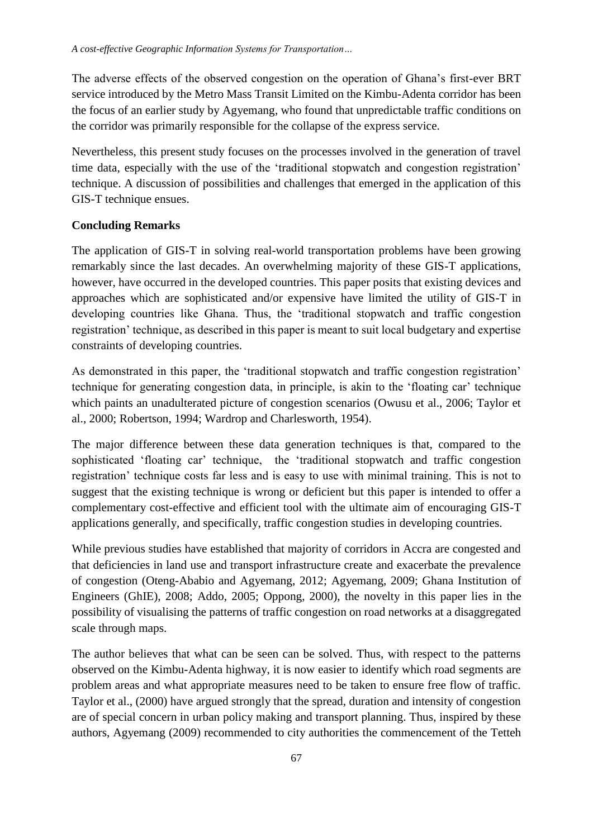The adverse effects of the observed congestion on the operation of Ghana's first-ever BRT service introduced by the Metro Mass Transit Limited on the Kimbu-Adenta corridor has been the focus of an earlier study by Agyemang, who found that unpredictable traffic conditions on the corridor was primarily responsible for the collapse of the express service.

Nevertheless, this present study focuses on the processes involved in the generation of travel time data, especially with the use of the 'traditional stopwatch and congestion registration' technique. A discussion of possibilities and challenges that emerged in the application of this GIS-T technique ensues.

### **Concluding Remarks**

The application of GIS-T in solving real-world transportation problems have been growing remarkably since the last decades. An overwhelming majority of these GIS-T applications, however, have occurred in the developed countries. This paper posits that existing devices and approaches which are sophisticated and/or expensive have limited the utility of GIS-T in developing countries like Ghana. Thus, the 'traditional stopwatch and traffic congestion registration' technique, as described in this paper is meant to suit local budgetary and expertise constraints of developing countries.

As demonstrated in this paper, the 'traditional stopwatch and traffic congestion registration' technique for generating congestion data, in principle, is akin to the 'floating car' technique which paints an unadulterated picture of congestion scenarios (Owusu et al., 2006; Taylor et al., 2000; Robertson, 1994; Wardrop and Charlesworth, 1954).

The major difference between these data generation techniques is that, compared to the sophisticated 'floating car' technique, the 'traditional stopwatch and traffic congestion registration' technique costs far less and is easy to use with minimal training. This is not to suggest that the existing technique is wrong or deficient but this paper is intended to offer a complementary cost-effective and efficient tool with the ultimate aim of encouraging GIS-T applications generally, and specifically, traffic congestion studies in developing countries.

While previous studies have established that majority of corridors in Accra are congested and that deficiencies in land use and transport infrastructure create and exacerbate the prevalence of congestion (Oteng-Ababio and Agyemang, 2012; Agyemang, 2009; Ghana Institution of Engineers (GhIE), 2008; Addo, 2005; Oppong, 2000), the novelty in this paper lies in the possibility of visualising the patterns of traffic congestion on road networks at a disaggregated scale through maps.

The author believes that what can be seen can be solved. Thus, with respect to the patterns observed on the Kimbu-Adenta highway, it is now easier to identify which road segments are problem areas and what appropriate measures need to be taken to ensure free flow of traffic. Taylor et al., (2000) have argued strongly that the spread, duration and intensity of congestion are of special concern in urban policy making and transport planning. Thus, inspired by these authors, Agyemang (2009) recommended to city authorities the commencement of the Tetteh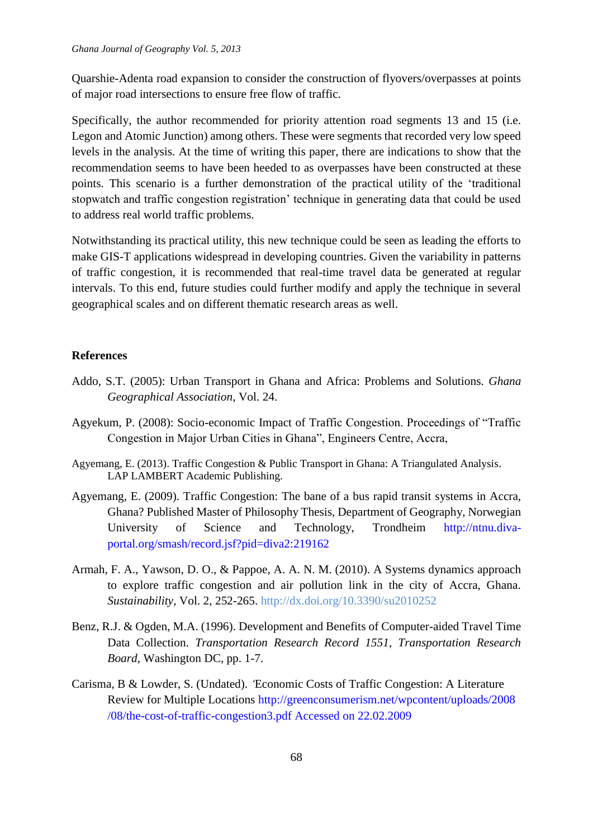Quarshie-Adenta road expansion to consider the construction of flyovers/overpasses at points of major road intersections to ensure free flow of traffic.

Specifically, the author recommended for priority attention road segments 13 and 15 (i.e. Legon and Atomic Junction) among others. These were segments that recorded very low speed levels in the analysis. At the time of writing this paper, there are indications to show that the recommendation seems to have been heeded to as overpasses have been constructed at these points. This scenario is a further demonstration of the practical utility of the 'traditional stopwatch and traffic congestion registration' technique in generating data that could be used to address real world traffic problems.

Notwithstanding its practical utility, this new technique could be seen as leading the efforts to make GIS-T applications widespread in developing countries. Given the variability in patterns of traffic congestion, it is recommended that real-time travel data be generated at regular intervals. To this end, future studies could further modify and apply the technique in several geographical scales and on different thematic research areas as well.

# **References**

- Addo, S.T. (2005): Urban Transport in Ghana and Africa: Problems and Solutions. *Ghana Geographical Association*, Vol. 24.
- Agyekum, P. (2008): Socio-economic Impact of Traffic Congestion. Proceedings of "Traffic Congestion in Major Urban Cities in Ghana", Engineers Centre, Accra,
- Agyemang, E. (2013). Traffic Congestion & Public Transport in Ghana: A Triangulated Analysis. LAP LAMBERT Academic Publishing.
- Agyemang, E. (2009). Traffic Congestion: The bane of a bus rapid transit systems in Accra, Ghana? Published Master of Philosophy Thesis, Department of Geography, Norwegian University of Science and Technology, Trondheim http://ntnu.divaportal.org/smash/record.jsf?pid=diva2:219162
- Armah, F. A., Yawson, D. O., & Pappoe, A. A. N. M. (2010). A Systems dynamics approach to explore traffic congestion and air pollution link in the city of Accra, Ghana. *Sustainability*, Vol. 2, 252-265. http://dx.doi.org/10.3390/su2010252
- Benz, R.J. & Ogden, M.A. (1996). Development and Benefits of Computer-aided Travel Time Data Collection. *Transportation Research Record 1551, Transportation Research Board,* Washington DC, pp. 1-7.
- Carisma, B & Lowder, S. (Undated). *'*Economic Costs of Traffic Congestion: A Literature Review for Multiple Locations [http://greenconsumerism.net/wpcontent/uploads/2008](http://greenconsumerism.net/wpcontent/uploads/2008%09/08/the-cost-of-traffic-congestion3.pdf%20Accessed%20on%2022.02.2009) [/08/the-cost-of-traffic-congestion3.pdf Accessed on 22.02.2009](http://greenconsumerism.net/wpcontent/uploads/2008%09/08/the-cost-of-traffic-congestion3.pdf%20Accessed%20on%2022.02.2009)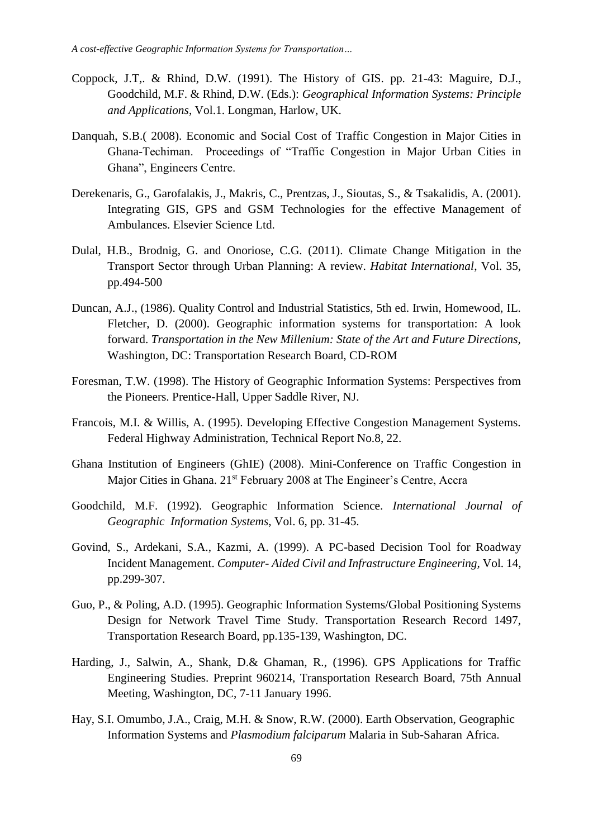- Coppock, J.T,. & Rhind, D.W. (1991). The History of GIS. pp. 21-43: Maguire, D.J., Goodchild, M.F. & Rhind, D.W. (Eds.): *Geographical Information Systems: Principle and Applications*, Vol.1. Longman, Harlow, UK.
- Danquah, S.B.( 2008). Economic and Social Cost of Traffic Congestion in Major Cities in Ghana-Techiman. Proceedings of "Traffic Congestion in Major Urban Cities in Ghana", Engineers Centre.
- Derekenaris, G., Garofalakis, J., Makris, C., Prentzas, J., Sioutas, S., & Tsakalidis, A. (2001). Integrating GIS, GPS and GSM Technologies for the effective Management of Ambulances. Elsevier Science Ltd.
- Dulal, H.B., Brodnig, G. and Onoriose, C.G. (2011). Climate Change Mitigation in the Transport Sector through Urban Planning: A review. *Habitat International*, Vol. 35, pp.494-500
- Duncan, A.J., (1986). Quality Control and Industrial Statistics, 5th ed. Irwin, Homewood, IL. Fletcher, D. (2000). Geographic information systems for transportation: A look forward. *Transportation in the New Millenium: State of the Art and Future Directions,* Washington, DC: Transportation Research Board, CD-ROM
- Foresman, T.W. (1998). The History of Geographic Information Systems: Perspectives from the Pioneers. Prentice-Hall, Upper Saddle River, NJ.
- Francois, M.I. & Willis, A. (1995). Developing Effective Congestion Management Systems. Federal Highway Administration, Technical Report No.8, 22.
- Ghana Institution of Engineers (GhIE) (2008). Mini-Conference on Traffic Congestion in Major Cities in Ghana. 21<sup>st</sup> February 2008 at The Engineer's Centre, Accra
- Goodchild, M.F. (1992). Geographic Information Science. *International Journal of Geographic Information Systems*, Vol. 6, pp. 31-45.
- Govind, S., Ardekani, S.A., Kazmi, A. (1999). A PC-based Decision Tool for Roadway Incident Management. *Computer- Aided Civil and Infrastructure Engineering,* Vol. 14, pp.299-307.
- Guo, P., & Poling, A.D. (1995). Geographic Information Systems/Global Positioning Systems Design for Network Travel Time Study. Transportation Research Record 1497, Transportation Research Board, pp.135-139, Washington, DC.
- Harding, J., Salwin, A., Shank, D.& Ghaman, R., (1996). GPS Applications for Traffic Engineering Studies. Preprint 960214, Transportation Research Board, 75th Annual Meeting, Washington, DC, 7-11 January 1996.
- Hay, S.I. Omumbo, J.A., Craig, M.H. & Snow, R.W. (2000). Earth Observation, Geographic Information Systems and *Plasmodium falciparum* Malaria in Sub-Saharan Africa.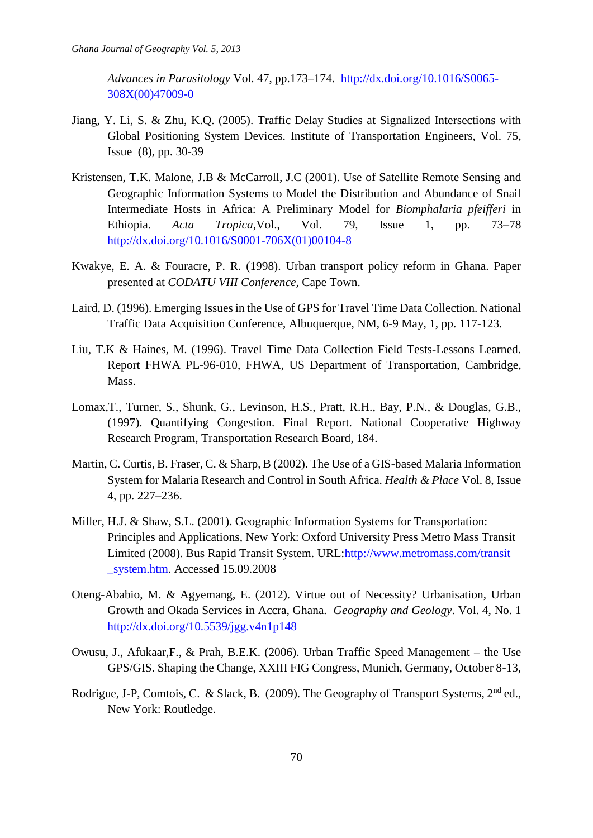*Advances in Parasitology* Vol. 47, pp.173–174. [http://dx.doi.org/10.1016/S0065-](http://dx.doi.org/10.1016/S0065-%20%09308X(00)47009-0) [308X\(00\)47009-0](http://dx.doi.org/10.1016/S0065-%20%09308X(00)47009-0)

- Jiang, Y. Li, S. & Zhu, K.Q. (2005). Traffic Delay Studies at Signalized Intersections with Global Positioning System Devices. Institute of Transportation Engineers, Vol. 75, Issue (8), pp. 30-39
- Kristensen, T.K. Malone, J.B & McCarroll, J.C (2001). Use of Satellite Remote Sensing and Geographic Information Systems to Model the Distribution and Abundance of Snail Intermediate Hosts in Africa: A Preliminary Model for *Biomphalaria pfeifferi* in Ethiopia. *Acta Tropica,*Vol., Vol. 79, Issue 1, pp. 73–78 [http://dx.doi.org/10.1016/S0001-706X\(01\)00104-8](http://dx.doi.org/10.1016/S0001-706X%2801%2900104-8)
- Kwakye, E. A. & Fouracre, P. R. (1998). Urban transport policy reform in Ghana. Paper presented at *CODATU VIII Conference,* Cape Town.
- Laird, D. (1996). Emerging Issues in the Use of GPS for Travel Time Data Collection. National Traffic Data Acquisition Conference, Albuquerque, NM, 6-9 May, 1, pp. 117-123.
- Liu, T.K & Haines, M. (1996). Travel Time Data Collection Field Tests-Lessons Learned. Report FHWA PL-96-010, FHWA, US Department of Transportation, Cambridge, Mass.
- Lomax,T., Turner, S., Shunk, G., Levinson, H.S., Pratt, R.H., Bay, P.N., & Douglas, G.B., (1997). Quantifying Congestion. Final Report. National Cooperative Highway Research Program, Transportation Research Board, 184.
- Martin, C. Curtis, B. Fraser, C. & Sharp, B (2002). The Use of a GIS-based Malaria Information System for Malaria Research and Control in South Africa. *Health & Place* Vol. 8, Issue 4, pp. 227–236.
- Miller, H.J. & Shaw, S.L. (2001). Geographic Information Systems for Transportation: Principles and Applications, New York: Oxford University Press Metro Mass Transit Limited (2008). Bus Rapid Transit System. URL[:http://www.metromass.com/transit](http://www.metromass.com/transit%20%09_system.htm)  [\\_system.htm.](http://www.metromass.com/transit%20%09_system.htm) Accessed 15.09.2008
- Oteng-Ababio, M. & Agyemang, E. (2012). Virtue out of Necessity? Urbanisation, Urban Growth and Okada Services in Accra, Ghana. *Geography and Geology*. Vol. 4, No. 1 <http://dx.doi.org/10.5539/jgg.v4n1p148>
- Owusu, J., Afukaar,F., & Prah, B.E.K. (2006). Urban Traffic Speed Management the Use GPS/GIS. Shaping the Change, XXIII FIG Congress, Munich, Germany, October 8-13,
- Rodrigue, J-P, Comtois, C. & Slack, B. (2009). The Geography of Transport Systems, 2<sup>nd</sup> ed., New York: Routledge.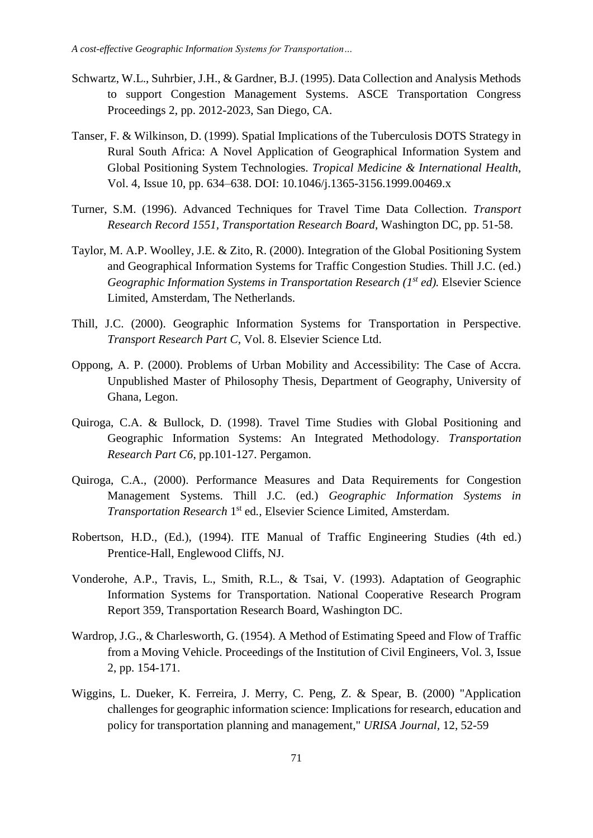- Schwartz, W.L., Suhrbier, J.H., & Gardner, B.J. (1995). Data Collection and Analysis Methods to support Congestion Management Systems. ASCE Transportation Congress Proceedings 2, pp. 2012-2023, San Diego, CA.
- Tanser, F. & Wilkinson, D. (1999). Spatial Implications of the Tuberculosis DOTS Strategy in Rural South Africa: A Novel Application of Geographical Information System and Global Positioning System Technologies. *Tropical Medicine & International Health*, Vol. 4, Issue 10, pp. 634–638. DOI: 10.1046/j.1365-3156.1999.00469.x
- Turner, S.M. (1996). Advanced Techniques for Travel Time Data Collection. *Transport Research Record 1551, Transportation Research Board*, Washington DC, pp. 51-58.
- Taylor, M. A.P. Woolley, J.E. & Zito, R. (2000). Integration of the Global Positioning System and Geographical Information Systems for Traffic Congestion Studies. Thill J.C. (ed.) *Geographic Information Systems in Transportation Research (1<sup>st</sup> ed).* Elsevier Science Limited, Amsterdam, The Netherlands.
- Thill, J.C. (2000). Geographic Information Systems for Transportation in Perspective. *Transport Research Part C,* Vol. 8. Elsevier Science Ltd.
- Oppong, A. P. (2000). Problems of Urban Mobility and Accessibility: The Case of Accra. Unpublished Master of Philosophy Thesis, Department of Geography, University of Ghana, Legon.
- Quiroga, C.A. & Bullock, D. (1998). Travel Time Studies with Global Positioning and Geographic Information Systems: An Integrated Methodology. *Transportation Research Part C6*, pp.101-127. Pergamon.
- Quiroga, C.A., (2000). Performance Measures and Data Requirements for Congestion Management Systems. Thill J.C. (ed.) *Geographic Information Systems in Transportation Research* 1 st ed*.,* Elsevier Science Limited, Amsterdam.
- Robertson, H.D., (Ed.), (1994). ITE Manual of Traffic Engineering Studies (4th ed.) Prentice-Hall, Englewood Cliffs, NJ.
- Vonderohe, A.P., Travis, L., Smith, R.L., & Tsai, V. (1993). Adaptation of Geographic Information Systems for Transportation. National Cooperative Research Program Report 359, Transportation Research Board, Washington DC.
- Wardrop, J.G., & Charlesworth, G. (1954). A Method of Estimating Speed and Flow of Traffic from a Moving Vehicle. Proceedings of the Institution of Civil Engineers, Vol. 3, Issue 2, pp. 154-171.
- Wiggins, L. Dueker, K. Ferreira, J. Merry, C. Peng, Z. & Spear, B. (2000) "Application challenges for geographic information science: Implications for research, education and policy for transportation planning and management," *URISA Journal,* 12, 52-59